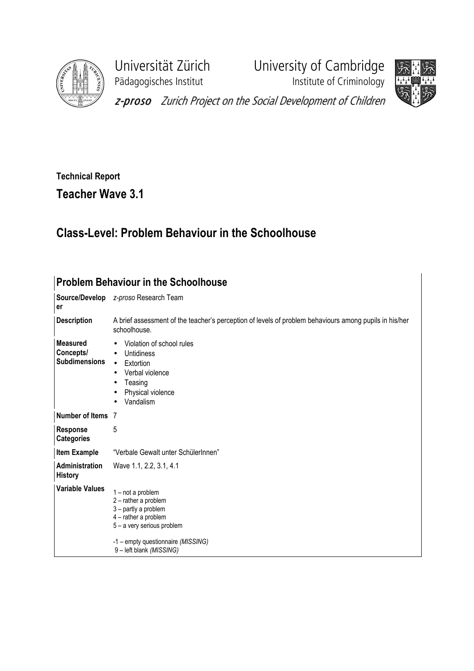

Pädagogisches Institut **Institute of Criminology** 

Universität Zürich University of Cambridge



z-proso Zurich Project on the Social Development of Children

## Technical Report Teacher Wave 3.1

## Class-Level: Problem Behaviour in the Schoolhouse

|                                                      | <b>Problem Behaviour in the Schoolhouse</b>                                                                                                                                               |
|------------------------------------------------------|-------------------------------------------------------------------------------------------------------------------------------------------------------------------------------------------|
|                                                      |                                                                                                                                                                                           |
| er                                                   | Source/Develop z-proso Research Team                                                                                                                                                      |
| <b>Description</b>                                   | A brief assessment of the teacher's perception of levels of problem behaviours among pupils in his/her<br>schoolhouse.                                                                    |
| <b>Measured</b><br>Concepts/<br><b>Subdimensions</b> | Violation of school rules<br>Untidiness<br>$\bullet$<br>Extortion<br>$\bullet$<br>Verbal violence<br>$\bullet$<br>Teasing<br>Physical violence<br>Vandalism                               |
| Number of Items 7                                    |                                                                                                                                                                                           |
| <b>Response</b><br><b>Categories</b>                 | 5                                                                                                                                                                                         |
| <b>Item Example</b>                                  | "Verbale Gewalt unter SchülerInnen"                                                                                                                                                       |
| Administration<br><b>History</b>                     | Wave 1.1, 2.2, 3.1, 4.1                                                                                                                                                                   |
| <b>Variable Values</b>                               | $1 - not a problem$<br>2 - rather a problem<br>3 - partly a problem<br>4 - rather a problem<br>5 - a very serious problem<br>-1 - empty questionnaire (MISSING)<br>9-left blank (MISSING) |